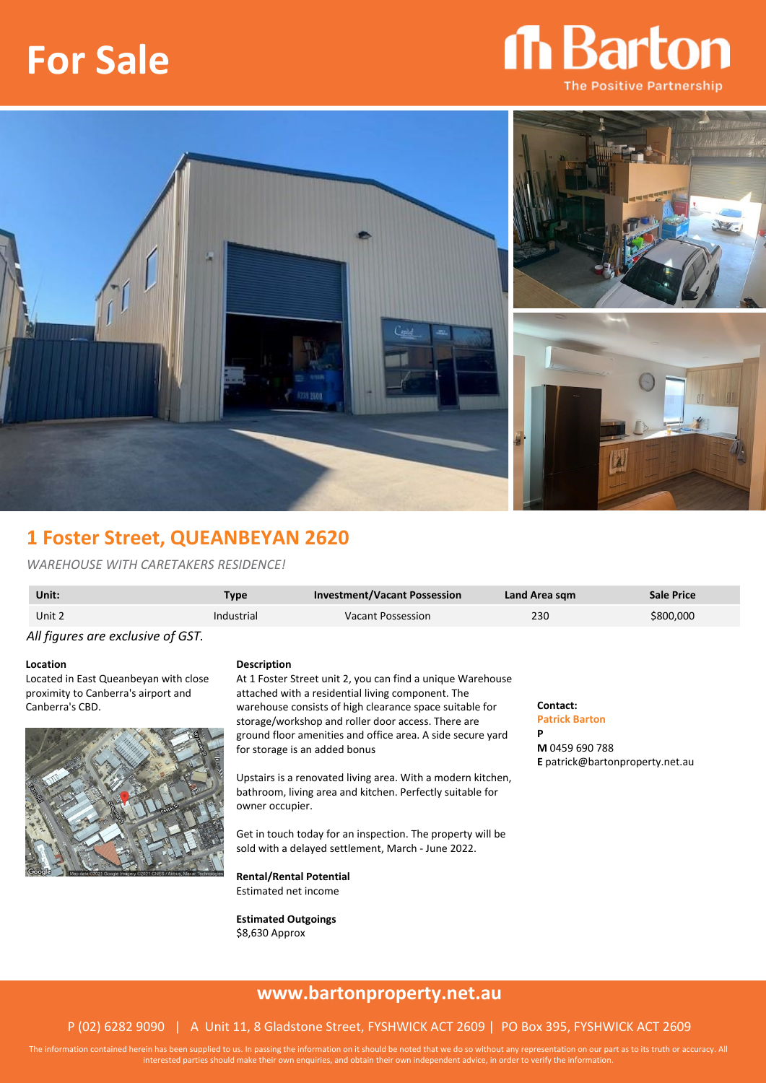# **For Sale**





### **1 Foster Street, QUEANBEYAN 2620**

#### *WAREHOUSE WITH CARETAKERS RESIDENCE!*

| Unit:  | Type       | <b>Investment/Vacant Possession</b> | Land Area sgm | Sale Price |
|--------|------------|-------------------------------------|---------------|------------|
| Unit 2 | Industrial | Vacant Possession                   | 230           | \$800,000  |
|        |            |                                     |               |            |

*All figures are exclusive of GST.*

**Location**

Located in East Queanbeyan with close proximity to Canberra's airport and Canberra's CBD.



#### **Description**

At 1 Foster Street unit 2, you can find a unique Warehouse attached with a residential living component. The warehouse consists of high clearance space suitable for storage/workshop and roller door access. There are ground floor amenities and office area. A side secure yard for storage is an added bonus

Upstairs is a renovated living area. With a modern kitchen, bathroom, living area and kitchen. Perfectly suitable for owner occupier.

Get in touch today for an inspection. The property will be sold with a delayed settlement, March - June 2022.

**Rental/Rental Potential**

Estimated net income

**Estimated Outgoings** \$8,630 Approx

#### **Contact: Patrick Barton**

**P M** 0459 690 788 **E** patrick@bartonproperty.net.au

## **www.bartonproperty.net.au**

#### P (02) 6282 9090 | A Unit 11, 8 Gladstone Street, FYSHWICK ACT 2609 | PO Box 395, FYSHWICK ACT 2609

The information contained herein has been supplied to us. In passing the information on it should be noted that we do so without any representation on our part as to its truth or accuracy. All interested parties should make their own enquiries, and obtain their own independent advice, in order to verify the information.